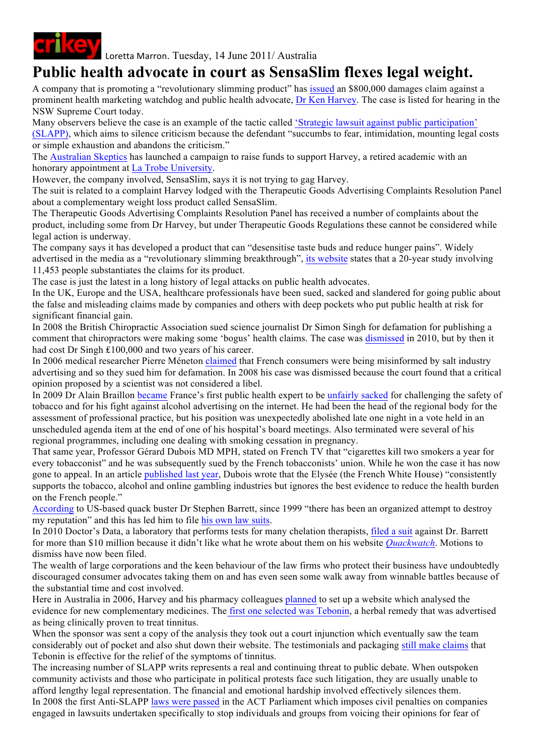

Loretta Marron. Tuesday, 14 June 2011/ Australia

## **Public health advocate in court as SensaSlim flexes legal weight.**

A company that is promoting a "revolutionary slimming product" has issued an \$800,000 damages claim against a prominent health marketing watchdog and public health advocate, Dr Ken Harvey. The case is listed for hearing in the NSW Supreme Court today.

Many observers believe the case is an example of the tactic called 'Strategic lawsuit against public participation' (SLAPP), which aims to silence criticism because the defendant "succumbs to fear, intimidation, mounting legal costs or simple exhaustion and abandons the criticism."

The Australian Skeptics has launched a campaign to raise funds to support Harvey, a retired academic with an honorary appointment at La Trobe University.

However, the company involved, SensaSlim, says it is not trying to gag Harvey.

The suit is related to a complaint Harvey lodged with the Therapeutic Goods Advertising Complaints Resolution Panel about a complementary weight loss product called SensaSlim.

The Therapeutic Goods Advertising Complaints Resolution Panel has received a number of complaints about the product, including some from Dr Harvey, but under Therapeutic Goods Regulations these cannot be considered while legal action is underway.

The company says it has developed a product that can "desensitise taste buds and reduce hunger pains". Widely advertised in the media as a "revolutionary slimming breakthrough", its website states that a 20-year study involving 11,453 people substantiates the claims for its product.

The case is just the latest in a long history of legal attacks on public health advocates.

In the UK, Europe and the USA, healthcare professionals have been sued, sacked and slandered for going public about the false and misleading claims made by companies and others with deep pockets who put public health at risk for significant financial gain.

In 2008 the British Chiropractic Association sued science journalist Dr Simon Singh for defamation for publishing a comment that chiropractors were making some 'bogus' health claims. The case was dismissed in 2010, but by then it had cost Dr Singh £100,000 and two years of his career.

In 2006 medical researcher Pierre Méneton claimed that French consumers were being misinformed by salt industry advertising and so they sued him for defamation. In 2008 his case was dismissed because the court found that a critical opinion proposed by a scientist was not considered a libel.

In 2009 Dr Alain Braillon became France's first public health expert to be unfairly sacked for challenging the safety of tobacco and for his fight against alcohol advertising on the internet. He had been the head of the regional body for the assessment of professional practice, but his position was unexpectedly abolished late one night in a vote held in an unscheduled agenda item at the end of one of his hospital's board meetings. Also terminated were several of his regional programmes, including one dealing with smoking cessation in pregnancy.

That same year, Professor Gérard Dubois MD MPH, stated on French TV that "cigarettes kill two smokers a year for every tobacconist" and he was subsequently sued by the French tobacconists' union. While he won the case it has now gone to appeal. In an article published last year, Dubois wrote that the Elysée (the French White House) "consistently supports the tobacco, alcohol and online gambling industries but ignores the best evidence to reduce the health burden on the French people."

According to US-based quack buster Dr Stephen Barrett, since 1999 "there has been an organized attempt to destroy my reputation" and this has led him to file his own law suits.

In 2010 Doctor's Data, a laboratory that performs tests for many chelation therapists, filed a suit against Dr. Barrett for more than \$10 million because it didn't like what he wrote about them on his website *Quackwatch*. Motions to dismiss have now been filed.

The wealth of large corporations and the keen behaviour of the law firms who protect their business have undoubtedly discouraged consumer advocates taking them on and has even seen some walk away from winnable battles because of the substantial time and cost involved.

Here in Australia in 2006, Harvey and his pharmacy colleagues planned to set up a website which analysed the evidence for new complementary medicines. The first one selected was Tebonin, a herbal remedy that was advertised as being clinically proven to treat tinnitus.

When the sponsor was sent a copy of the analysis they took out a court injunction which eventually saw the team considerably out of pocket and also shut down their website. The testimonials and packaging still make claims that Tebonin is effective for the relief of the symptoms of tinnitus.

The increasing number of SLAPP writs represents a real and continuing threat to public debate. When outspoken community activists and those who participate in political protests face such litigation, they are usually unable to afford lengthy legal representation. The financial and emotional hardship involved effectively silences them. In 2008 the first Anti-SLAPP laws were passed in the ACT Parliament which imposes civil penalties on companies engaged in lawsuits undertaken specifically to stop individuals and groups from voicing their opinions for fear of